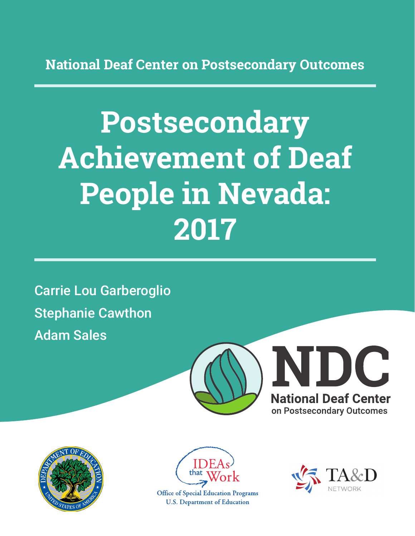**National Deaf Center on Postsecondary Outcomes**

# **Postsecondary Achievement of Deaf People in Nevada: 2017**

Carrie Lou Garberoglio Stephanie Cawthon Adam Sales







**Office of Special Education Programs U.S. Department of Education** 

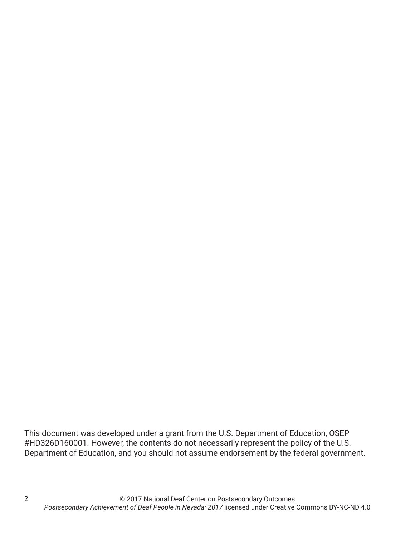This document was developed under a grant from the U.S. Department of Education, OSEP #HD326D160001. However, the contents do not necessarily represent the policy of the U.S. Department of Education, and you should not assume endorsement by the federal government.

2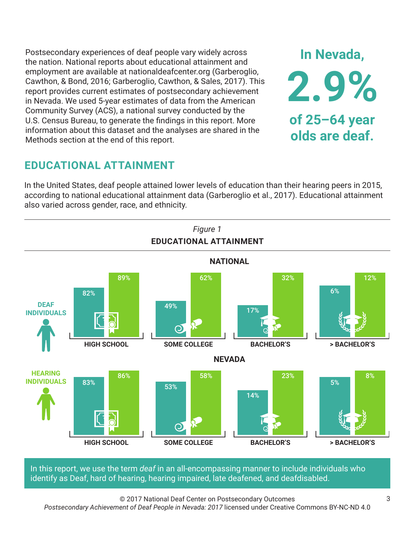Postsecondary experiences of deaf people vary widely across the nation. National reports about educational attainment and employment are available at nationaldeafcenter.org (Garberoglio, Cawthon, & Bond, 2016; Garberoglio, Cawthon, & Sales, 2017). This report provides current estimates of postsecondary achievement in Nevada. We used 5-year estimates of data from the American Community Survey (ACS), a national survey conducted by the U.S. Census Bureau, to generate the findings in this report. More information about this dataset and the analyses are shared in the Methods section at the end of this report.

# **EDUCATIONAL ATTAINMENT**

In the United States, deaf people attained lower levels of education than their hearing peers in 2015, according to national educational attainment data (Garberoglio et al., 2017). Educational attainment also varied across gender, race, and ethnicity.



In this report, we use the term *deaf* in an all-encompassing manner to include individuals who identify as Deaf, hard of hearing, hearing impaired, late deafened, and deafdisabled.

© 2017 National Deaf Center on Postsecondary Outcomes *Postsecondary Achievement of Deaf People in Nevada: 2017* licensed under Creative Commons BY-NC-ND 4.0

**In Nevada,**

**2.9%**

**of 25–64 year**

**olds are deaf.**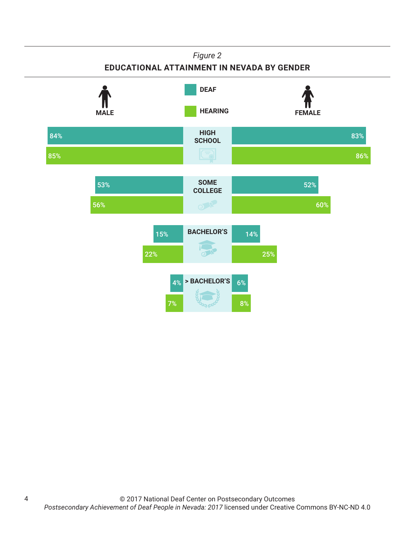#### *Figure 2* **EDUCATIONAL ATTAINMENT IN NEVADA BY GENDER HIGH SCHOOL SOME COLLEGE BACHELOR'S > BACHELOR'S HEARING** FEMALE **DEAF** 84% 85% 83% 86% 53% 56% 52% 60% 15% 22% 14% 25% 4% 7% 6% 8%

4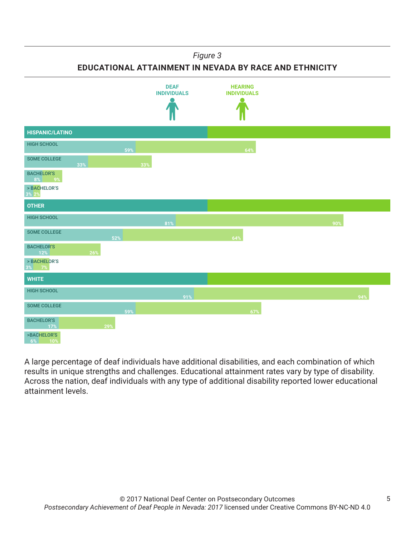#### *Figure 3*

**EDUCATIONAL ATTAINMENT IN NEVADA BY RACE AND ETHNICITY**



A large percentage of deaf individuals have additional disabilities, and each combination of which results in unique strengths and challenges. Educational attainment rates vary by type of disability. Across the nation, deaf individuals with any type of additional disability reported lower educational attainment levels.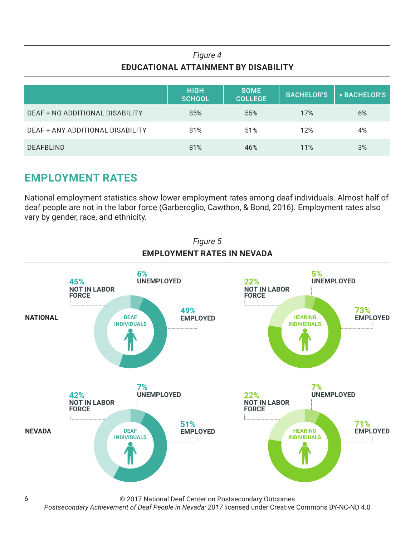### *Figure 4* **EDUCATIONAL ATTAINMENT BY DISABILITY**

|                                  | <b>HIGH</b><br><b>SCHOOL</b> | <b>SOME</b><br><b>COLLEGE</b> | <b>BACHELOR'S</b> | > BACHELOR'S |
|----------------------------------|------------------------------|-------------------------------|-------------------|--------------|
| DEAF + NO ADDITIONAL DISABILITY  | 85%                          | 55%                           | 17%               | 6%           |
| DEAF + ANY ADDITIONAL DISABILITY | 81%                          | 51%                           | 12%               | 4%           |
| <b>DEAFBLIND</b>                 | 81%                          | 46%                           | 11%               | 3%           |

# **EMPLOYMENT RATES**

National employment statistics show lower employment rates among deaf individuals. Almost half of deaf people are not in the labor force (Garberoglio, Cawthon, & Bond, 2016). Employment rates also vary by gender, race, and ethnicity.



© 2017 National Deaf Center on Postsecondary Outcomes

*Postsecondary Achievement of Deaf People in Nevada: 2017* licensed under Creative Commons BY-NC-ND 4.0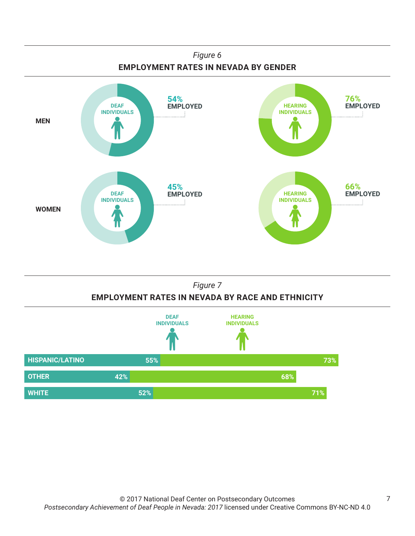



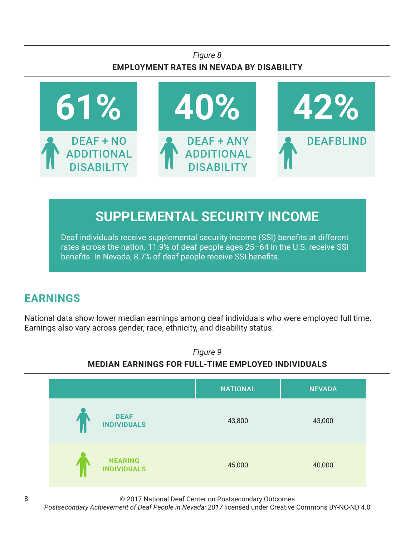### *Figure 8* **EMPLOYMENT RATES IN NEVADA BY DISABILITY**



# **SUPPLEMENTAL SECURITY INCOME**

Deaf individuals receive supplemental security income (SSI) benefits at different rates across the nation. 11.9% of deaf people ages 25–64 in the U.S. receive SSI benefits. In Nevada, 8.7% of deaf people receive SSI benefits.

# **EARNINGS**

National data show lower median earnings among deaf individuals who were employed full time. Earnings also vary across gender, race, ethnicity, and disability status.



© 2017 National Deaf Center on Postsecondary Outcomes

*Postsecondary Achievement of Deaf People in Nevada: 2017* licensed under Creative Commons BY-NC-ND 4.0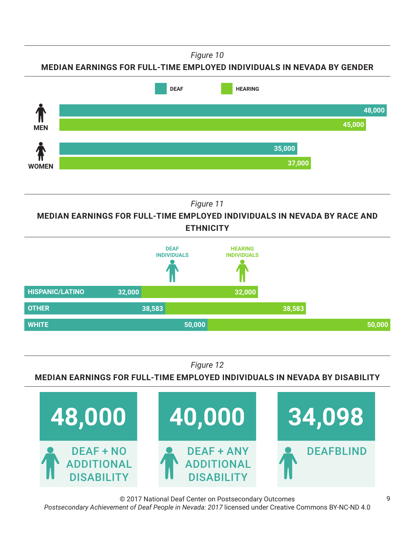*Figure 10*





*Figure 11*

**MEDIAN EARNINGS FOR FULL-TIME EMPLOYED INDIVIDUALS IN NEVADA BY RACE AND ETHNICITY**



*Figure 12*

**MEDIAN EARNINGS FOR FULL-TIME EMPLOYED INDIVIDUALS IN NEVADA BY DISABILITY**



© 2017 National Deaf Center on Postsecondary Outcomes *Postsecondary Achievement of Deaf People in Nevada: 2017* licensed under Creative Commons BY-NC-ND 4.0